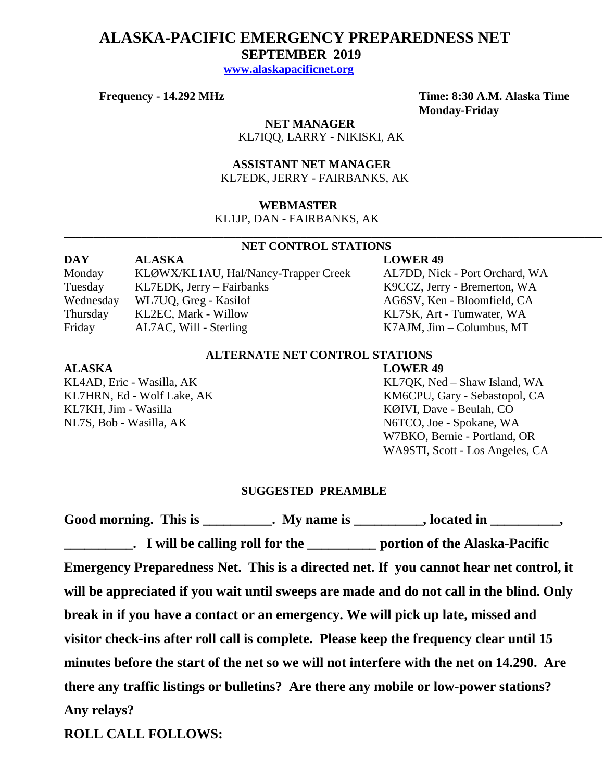# **ALASKA-PACIFIC EMERGENCY PREPAREDNESS NET SEPTEMBER 2019**

 **[www.alaskapacificnet.org](http://www.alaskapacificnet.org/)**

 **NET MANAGER** KL7IQQ, LARRY - NIKISKI, AK

 **ASSISTANT NET MANAGER**  KL7EDK, JERRY - FAIRBANKS, AK

## **WEBMASTER**

KL1JP, DAN - FAIRBANKS, AK

### **NET CONTROL STATIONS**

**\_\_\_\_\_\_\_\_\_\_\_\_\_\_\_\_\_\_\_\_\_\_\_\_\_\_\_\_\_\_\_\_\_\_\_\_\_\_\_\_\_\_\_\_\_\_\_\_\_\_\_\_\_\_\_\_\_\_\_\_\_\_\_\_\_\_\_\_\_\_\_\_\_\_\_\_\_\_\_\_\_\_\_\_\_\_\_\_\_\_\_**

| <b>DAY</b> | <b>ALASKA</b>                        | <b>LOWER 49</b>                   |
|------------|--------------------------------------|-----------------------------------|
| Monday     | KLØWX/KL1AU, Hal/Nancy-Trapper Creek | AL7DD, Nick - Port Orchard, WA    |
| Tuesday    | $KL7EDK$ , Jerry – Fairbanks         | K9CCZ, Jerry - Bremerton, WA      |
| Wednesday  | WL7UQ, Greg - Kasilof                | AG6SV, Ken - Bloomfield, CA       |
| Thursday   | KL2EC, Mark - Willow                 | KL7SK, Art - Tumwater, WA         |
| Friday     | AL7AC, Will - Sterling               | $K7AJM$ , $Jim - Columbus$ , $MT$ |

# **ALTERNATE NET CONTROL STATIONS**

### **ALASKA LOWER 49**

KL7KH, Jim - Wasilla KØIVI, Dave - Beulah, CO NL7S, Bob - Wasilla, AK N6TCO, Joe - Spokane, WA

KL4AD, Eric - Wasilla, AK KL7QK, Ned – Shaw Island, WA KL7HRN, Ed - Wolf Lake, AK KM6CPU, Gary - Sebastopol, CA W7BKO, Bernie - Portland, OR WA9STI, Scott - Los Angeles, CA

# **SUGGESTED PREAMBLE**

|                                                                                  | Good morning. This is __________. My name is _________, located in _________,            |
|----------------------------------------------------------------------------------|------------------------------------------------------------------------------------------|
|                                                                                  | <b>EXECUTE:</b> I will be calling roll for the <u>example of the Alaska-Pacific</u>      |
|                                                                                  | Emergency Preparedness Net. This is a directed net. If you cannot hear net control, it   |
|                                                                                  | will be appreciated if you wait until sweeps are made and do not call in the blind. Only |
| break in if you have a contact or an emergency. We will pick up late, missed and |                                                                                          |
|                                                                                  | visitor check-ins after roll call is complete. Please keep the frequency clear until 15  |
|                                                                                  | minutes before the start of the net so we will not interfere with the net on 14.290. Are |
|                                                                                  | there any traffic listings or bulletins? Are there any mobile or low-power stations?     |
| Any relays?                                                                      |                                                                                          |
|                                                                                  |                                                                                          |

**ROLL CALL FOLLOWS:**

**Frequency - 14.292 MHz Time: 8:30 A.M. Alaska Time Monday-Friday**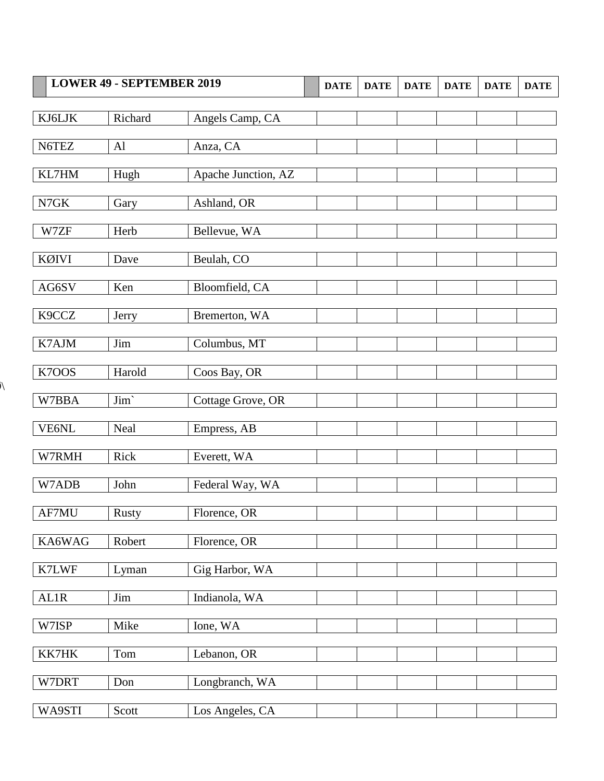|                              | <b>LOWER 49 - SEPTEMBER 2019</b> |                     | <b>DATE</b> | <b>DATE</b> | <b>DATE</b> | <b>DATE</b> | <b>DATE</b> | <b>DATE</b> |
|------------------------------|----------------------------------|---------------------|-------------|-------------|-------------|-------------|-------------|-------------|
|                              |                                  |                     |             |             |             |             |             |             |
| KJ6LJK                       | Richard                          | Angels Camp, CA     |             |             |             |             |             |             |
| N6TEZ                        | Al                               | Anza, CA            |             |             |             |             |             |             |
|                              |                                  |                     |             |             |             |             |             |             |
| KL7HM                        | Hugh                             | Apache Junction, AZ |             |             |             |             |             |             |
| $\ensuremath{\mathsf{N7GK}}$ | Gary                             | Ashland, OR         |             |             |             |             |             |             |
|                              |                                  |                     |             |             |             |             |             |             |
| W7ZF                         | Herb                             | Bellevue, WA        |             |             |             |             |             |             |
| KØIVI                        | Dave                             | Beulah, CO          |             |             |             |             |             |             |
|                              |                                  |                     |             |             |             |             |             |             |
| AG6SV                        | Ken                              | Bloomfield, CA      |             |             |             |             |             |             |
| K9CCZ                        | Jerry                            | Bremerton, WA       |             |             |             |             |             |             |
|                              |                                  |                     |             |             |             |             |             |             |
| K7AJM                        | Jim                              | Columbus, MT        |             |             |             |             |             |             |
| K7OOS                        | Harold                           | Coos Bay, OR        |             |             |             |             |             |             |
|                              |                                  |                     |             |             |             |             |             |             |
| W7BBA                        | $\text{Jim}`$                    | Cottage Grove, OR   |             |             |             |             |             |             |
| VE6NL                        | Neal                             | Empress, AB         |             |             |             |             |             |             |
|                              |                                  |                     |             |             |             |             |             |             |
| W7RMH                        | Rick                             | Everett, WA         |             |             |             |             |             |             |
| W7ADB                        | John                             | Federal Way, WA     |             |             |             |             |             |             |
|                              |                                  |                     |             |             |             |             |             |             |
| AF7MU                        | Rusty                            | Florence, OR        |             |             |             |             |             |             |
| KA6WAG                       | Robert                           | Florence, OR        |             |             |             |             |             |             |
|                              |                                  |                     |             |             |             |             |             |             |
| K7LWF                        | Lyman                            | Gig Harbor, WA      |             |             |             |             |             |             |
| AL1R                         | Jim                              | Indianola, WA       |             |             |             |             |             |             |
|                              |                                  |                     |             |             |             |             |             |             |
| W7ISP                        | Mike                             | Ione, WA            |             |             |             |             |             |             |
| KK7HK                        | Tom                              | Lebanon, OR         |             |             |             |             |             |             |
|                              |                                  |                     |             |             |             |             |             |             |
| W7DRT                        | Don                              | Longbranch, WA      |             |             |             |             |             |             |
|                              |                                  |                     |             |             |             |             |             |             |
| WA9STI                       | Scott                            | Los Angeles, CA     |             |             |             |             |             |             |

 $\overline{\mathcal{N}}$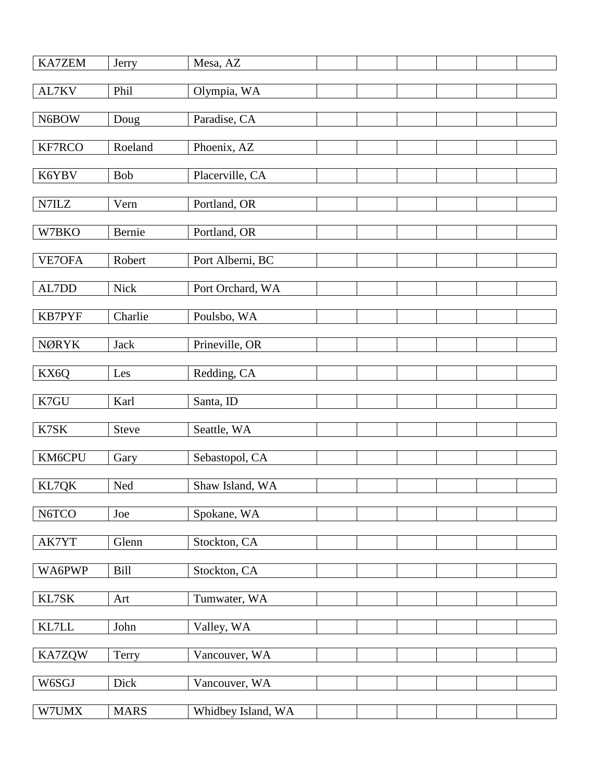| KA7ZEM                             | Jerry        | Mesa, AZ           |  |  |  |
|------------------------------------|--------------|--------------------|--|--|--|
| AL7KV                              | Phil         | Olympia, WA        |  |  |  |
| N6BOW                              | Doug         | Paradise, CA       |  |  |  |
| KF7RCO                             | Roeland      | Phoenix, AZ        |  |  |  |
|                                    | Bob          |                    |  |  |  |
| K6YBV                              |              | Placerville, CA    |  |  |  |
| $\ensuremath{\text{N7}\text{ILZ}}$ | Vern         | Portland, OR       |  |  |  |
| W7BKO                              | Bernie       | Portland, OR       |  |  |  |
| VE7OFA                             | Robert       | Port Alberni, BC   |  |  |  |
| AL7DD                              | <b>Nick</b>  | Port Orchard, WA   |  |  |  |
| KB7PYF                             | Charlie      | Poulsbo, WA        |  |  |  |
| <b>NØRYK</b>                       | <b>Jack</b>  | Prineville, OR     |  |  |  |
|                                    |              |                    |  |  |  |
| KX6Q                               | Les          | Redding, CA        |  |  |  |
| K7GU                               | Karl         | Santa, ID          |  |  |  |
| K7SK                               | <b>Steve</b> | Seattle, WA        |  |  |  |
| KM6CPU                             | Gary         | Sebastopol, CA     |  |  |  |
| KL7QK                              | Ned          | Shaw Island, WA    |  |  |  |
| N6TCO                              | Joe          | Spokane, WA        |  |  |  |
| AK7YT                              | Glenn        | Stockton, CA       |  |  |  |
|                                    |              |                    |  |  |  |
| WA6PWP                             | Bill         | Stockton, CA       |  |  |  |
| KL7SK                              | Art          | Tumwater, WA       |  |  |  |
| $\text{KL7LL}$                     | John         | Valley, WA         |  |  |  |
| <b>KA7ZQW</b>                      | Terry        | Vancouver, WA      |  |  |  |
| W6SGJ                              | Dick         | Vancouver, WA      |  |  |  |
| W7UMX                              | <b>MARS</b>  | Whidbey Island, WA |  |  |  |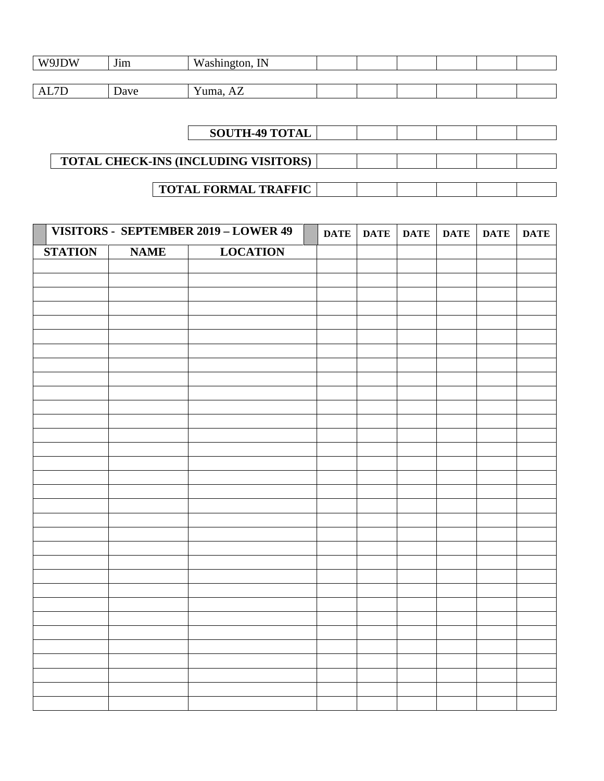| W9JDW | $\mathbf{r}$<br>$\text{J}$ <sub>1</sub> m | Washington, IN                    |  |  |  |
|-------|-------------------------------------------|-----------------------------------|--|--|--|
|       |                                           |                                   |  |  |  |
| AL7D  | Dave                                      | $\mathbf{v}$<br>-<br>∨uma.<br>AZ. |  |  |  |

|                                             | <b>SOUTH-49 TOTAL</b>       |  |  |  |
|---------------------------------------------|-----------------------------|--|--|--|
|                                             |                             |  |  |  |
| <b>TOTAL CHECK-INS (INCLUDING VISITORS)</b> |                             |  |  |  |
|                                             |                             |  |  |  |
|                                             | <b>TOTAL FORMAL TRAFFIC</b> |  |  |  |

|                |             | VISITORS - SEPTEMBER 2019 - LOWER 49 | <b>DATE</b> | <b>DATE</b> | <b>DATE</b> | <b>DATE</b> | <b>DATE</b> | <b>DATE</b> |
|----------------|-------------|--------------------------------------|-------------|-------------|-------------|-------------|-------------|-------------|
| <b>STATION</b> | <b>NAME</b> | <b>LOCATION</b>                      |             |             |             |             |             |             |
|                |             |                                      |             |             |             |             |             |             |
|                |             |                                      |             |             |             |             |             |             |
|                |             |                                      |             |             |             |             |             |             |
|                |             |                                      |             |             |             |             |             |             |
|                |             |                                      |             |             |             |             |             |             |
|                |             |                                      |             |             |             |             |             |             |
|                |             |                                      |             |             |             |             |             |             |
|                |             |                                      |             |             |             |             |             |             |
|                |             |                                      |             |             |             |             |             |             |
|                |             |                                      |             |             |             |             |             |             |
|                |             |                                      |             |             |             |             |             |             |
|                |             |                                      |             |             |             |             |             |             |
|                |             |                                      |             |             |             |             |             |             |
|                |             |                                      |             |             |             |             |             |             |
|                |             |                                      |             |             |             |             |             |             |
|                |             |                                      |             |             |             |             |             |             |
|                |             |                                      |             |             |             |             |             |             |
|                |             |                                      |             |             |             |             |             |             |
|                |             |                                      |             |             |             |             |             |             |
|                |             |                                      |             |             |             |             |             |             |
|                |             |                                      |             |             |             |             |             |             |
|                |             |                                      |             |             |             |             |             |             |
|                |             |                                      |             |             |             |             |             |             |
|                |             |                                      |             |             |             |             |             |             |
|                |             |                                      |             |             |             |             |             |             |
|                |             |                                      |             |             |             |             |             |             |
|                |             |                                      |             |             |             |             |             |             |
|                |             |                                      |             |             |             |             |             |             |
|                |             |                                      |             |             |             |             |             |             |
|                |             |                                      |             |             |             |             |             |             |
|                |             |                                      |             |             |             |             |             |             |
|                |             |                                      |             |             |             |             |             |             |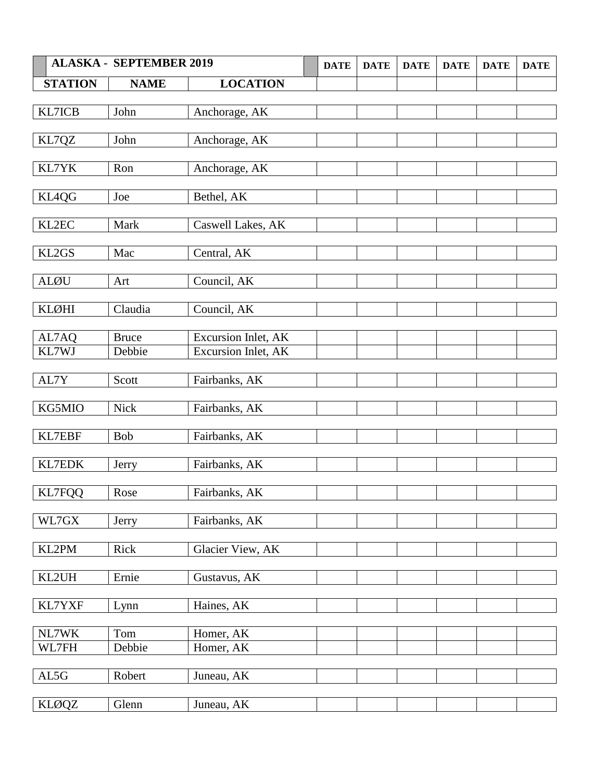| <b>STATION</b><br><b>NAME</b><br><b>LOCATION</b><br>KL7ICB<br>John<br>Anchorage, AK<br>KL7QZ<br>Anchorage, AK<br>John<br>KL7YK<br>Anchorage, AK<br>Ron<br>Bethel, AK<br>KL4QG<br>Joe<br>KL2EC<br>Mark<br>Caswell Lakes, AK<br>KL2GS<br>Central, AK<br>Mac<br><b>ALØU</b><br>Council, AK<br>Art<br><b>KLØHI</b><br>Council, AK<br>Claudia<br><b>Excursion Inlet, AK</b><br>AL7AQ<br><b>Bruce</b><br>KL7WJ<br>Debbie<br>Excursion Inlet, AK<br>AL7Y<br>Fairbanks, AK<br>Scott<br>KG5MIO<br><b>Nick</b><br>Fairbanks, AK<br>KL7EBF<br>Fairbanks, AK<br>Bob<br>KL7EDK<br>Fairbanks, AK<br>Jerry<br><b>KL7FQQ</b><br>Rose<br>Fairbanks, AK<br>WL7GX<br>Fairbanks, AK<br>Jerry<br>KL2PM<br>Glacier View, AK<br>Rick<br>KL2UH<br>Ernie<br>Gustavus, AK<br>KL7YXF<br>Haines, AK<br>Lynn<br>NL7WK<br>Homer, AK<br>Tom<br>Debbie<br>WL7FH<br>Homer, AK<br>AL5G<br>Juneau, AK<br>Robert<br><b>KLØQZ</b><br>Glenn<br>Juneau, AK | <b>ALASKA - SEPTEMBER 2019</b> | <b>DATE</b> | <b>DATE</b> | <b>DATE</b> | <b>DATE</b> | <b>DATE</b> | <b>DATE</b> |
|---------------------------------------------------------------------------------------------------------------------------------------------------------------------------------------------------------------------------------------------------------------------------------------------------------------------------------------------------------------------------------------------------------------------------------------------------------------------------------------------------------------------------------------------------------------------------------------------------------------------------------------------------------------------------------------------------------------------------------------------------------------------------------------------------------------------------------------------------------------------------------------------------------------------|--------------------------------|-------------|-------------|-------------|-------------|-------------|-------------|
|                                                                                                                                                                                                                                                                                                                                                                                                                                                                                                                                                                                                                                                                                                                                                                                                                                                                                                                     |                                |             |             |             |             |             |             |
|                                                                                                                                                                                                                                                                                                                                                                                                                                                                                                                                                                                                                                                                                                                                                                                                                                                                                                                     |                                |             |             |             |             |             |             |
|                                                                                                                                                                                                                                                                                                                                                                                                                                                                                                                                                                                                                                                                                                                                                                                                                                                                                                                     |                                |             |             |             |             |             |             |
|                                                                                                                                                                                                                                                                                                                                                                                                                                                                                                                                                                                                                                                                                                                                                                                                                                                                                                                     |                                |             |             |             |             |             |             |
|                                                                                                                                                                                                                                                                                                                                                                                                                                                                                                                                                                                                                                                                                                                                                                                                                                                                                                                     |                                |             |             |             |             |             |             |
|                                                                                                                                                                                                                                                                                                                                                                                                                                                                                                                                                                                                                                                                                                                                                                                                                                                                                                                     |                                |             |             |             |             |             |             |
|                                                                                                                                                                                                                                                                                                                                                                                                                                                                                                                                                                                                                                                                                                                                                                                                                                                                                                                     |                                |             |             |             |             |             |             |
|                                                                                                                                                                                                                                                                                                                                                                                                                                                                                                                                                                                                                                                                                                                                                                                                                                                                                                                     |                                |             |             |             |             |             |             |
|                                                                                                                                                                                                                                                                                                                                                                                                                                                                                                                                                                                                                                                                                                                                                                                                                                                                                                                     |                                |             |             |             |             |             |             |
|                                                                                                                                                                                                                                                                                                                                                                                                                                                                                                                                                                                                                                                                                                                                                                                                                                                                                                                     |                                |             |             |             |             |             |             |
|                                                                                                                                                                                                                                                                                                                                                                                                                                                                                                                                                                                                                                                                                                                                                                                                                                                                                                                     |                                |             |             |             |             |             |             |
|                                                                                                                                                                                                                                                                                                                                                                                                                                                                                                                                                                                                                                                                                                                                                                                                                                                                                                                     |                                |             |             |             |             |             |             |
|                                                                                                                                                                                                                                                                                                                                                                                                                                                                                                                                                                                                                                                                                                                                                                                                                                                                                                                     |                                |             |             |             |             |             |             |
|                                                                                                                                                                                                                                                                                                                                                                                                                                                                                                                                                                                                                                                                                                                                                                                                                                                                                                                     |                                |             |             |             |             |             |             |
|                                                                                                                                                                                                                                                                                                                                                                                                                                                                                                                                                                                                                                                                                                                                                                                                                                                                                                                     |                                |             |             |             |             |             |             |
|                                                                                                                                                                                                                                                                                                                                                                                                                                                                                                                                                                                                                                                                                                                                                                                                                                                                                                                     |                                |             |             |             |             |             |             |
|                                                                                                                                                                                                                                                                                                                                                                                                                                                                                                                                                                                                                                                                                                                                                                                                                                                                                                                     |                                |             |             |             |             |             |             |
|                                                                                                                                                                                                                                                                                                                                                                                                                                                                                                                                                                                                                                                                                                                                                                                                                                                                                                                     |                                |             |             |             |             |             |             |
|                                                                                                                                                                                                                                                                                                                                                                                                                                                                                                                                                                                                                                                                                                                                                                                                                                                                                                                     |                                |             |             |             |             |             |             |
|                                                                                                                                                                                                                                                                                                                                                                                                                                                                                                                                                                                                                                                                                                                                                                                                                                                                                                                     |                                |             |             |             |             |             |             |
|                                                                                                                                                                                                                                                                                                                                                                                                                                                                                                                                                                                                                                                                                                                                                                                                                                                                                                                     |                                |             |             |             |             |             |             |
|                                                                                                                                                                                                                                                                                                                                                                                                                                                                                                                                                                                                                                                                                                                                                                                                                                                                                                                     |                                |             |             |             |             |             |             |
|                                                                                                                                                                                                                                                                                                                                                                                                                                                                                                                                                                                                                                                                                                                                                                                                                                                                                                                     |                                |             |             |             |             |             |             |
|                                                                                                                                                                                                                                                                                                                                                                                                                                                                                                                                                                                                                                                                                                                                                                                                                                                                                                                     |                                |             |             |             |             |             |             |
|                                                                                                                                                                                                                                                                                                                                                                                                                                                                                                                                                                                                                                                                                                                                                                                                                                                                                                                     |                                |             |             |             |             |             |             |
|                                                                                                                                                                                                                                                                                                                                                                                                                                                                                                                                                                                                                                                                                                                                                                                                                                                                                                                     |                                |             |             |             |             |             |             |
|                                                                                                                                                                                                                                                                                                                                                                                                                                                                                                                                                                                                                                                                                                                                                                                                                                                                                                                     |                                |             |             |             |             |             |             |
|                                                                                                                                                                                                                                                                                                                                                                                                                                                                                                                                                                                                                                                                                                                                                                                                                                                                                                                     |                                |             |             |             |             |             |             |
|                                                                                                                                                                                                                                                                                                                                                                                                                                                                                                                                                                                                                                                                                                                                                                                                                                                                                                                     |                                |             |             |             |             |             |             |
|                                                                                                                                                                                                                                                                                                                                                                                                                                                                                                                                                                                                                                                                                                                                                                                                                                                                                                                     |                                |             |             |             |             |             |             |
|                                                                                                                                                                                                                                                                                                                                                                                                                                                                                                                                                                                                                                                                                                                                                                                                                                                                                                                     |                                |             |             |             |             |             |             |
|                                                                                                                                                                                                                                                                                                                                                                                                                                                                                                                                                                                                                                                                                                                                                                                                                                                                                                                     |                                |             |             |             |             |             |             |
|                                                                                                                                                                                                                                                                                                                                                                                                                                                                                                                                                                                                                                                                                                                                                                                                                                                                                                                     |                                |             |             |             |             |             |             |
|                                                                                                                                                                                                                                                                                                                                                                                                                                                                                                                                                                                                                                                                                                                                                                                                                                                                                                                     |                                |             |             |             |             |             |             |
|                                                                                                                                                                                                                                                                                                                                                                                                                                                                                                                                                                                                                                                                                                                                                                                                                                                                                                                     |                                |             |             |             |             |             |             |
|                                                                                                                                                                                                                                                                                                                                                                                                                                                                                                                                                                                                                                                                                                                                                                                                                                                                                                                     |                                |             |             |             |             |             |             |
|                                                                                                                                                                                                                                                                                                                                                                                                                                                                                                                                                                                                                                                                                                                                                                                                                                                                                                                     |                                |             |             |             |             |             |             |
|                                                                                                                                                                                                                                                                                                                                                                                                                                                                                                                                                                                                                                                                                                                                                                                                                                                                                                                     |                                |             |             |             |             |             |             |
|                                                                                                                                                                                                                                                                                                                                                                                                                                                                                                                                                                                                                                                                                                                                                                                                                                                                                                                     |                                |             |             |             |             |             |             |
|                                                                                                                                                                                                                                                                                                                                                                                                                                                                                                                                                                                                                                                                                                                                                                                                                                                                                                                     |                                |             |             |             |             |             |             |
|                                                                                                                                                                                                                                                                                                                                                                                                                                                                                                                                                                                                                                                                                                                                                                                                                                                                                                                     |                                |             |             |             |             |             |             |
|                                                                                                                                                                                                                                                                                                                                                                                                                                                                                                                                                                                                                                                                                                                                                                                                                                                                                                                     |                                |             |             |             |             |             |             |
|                                                                                                                                                                                                                                                                                                                                                                                                                                                                                                                                                                                                                                                                                                                                                                                                                                                                                                                     |                                |             |             |             |             |             |             |
|                                                                                                                                                                                                                                                                                                                                                                                                                                                                                                                                                                                                                                                                                                                                                                                                                                                                                                                     |                                |             |             |             |             |             |             |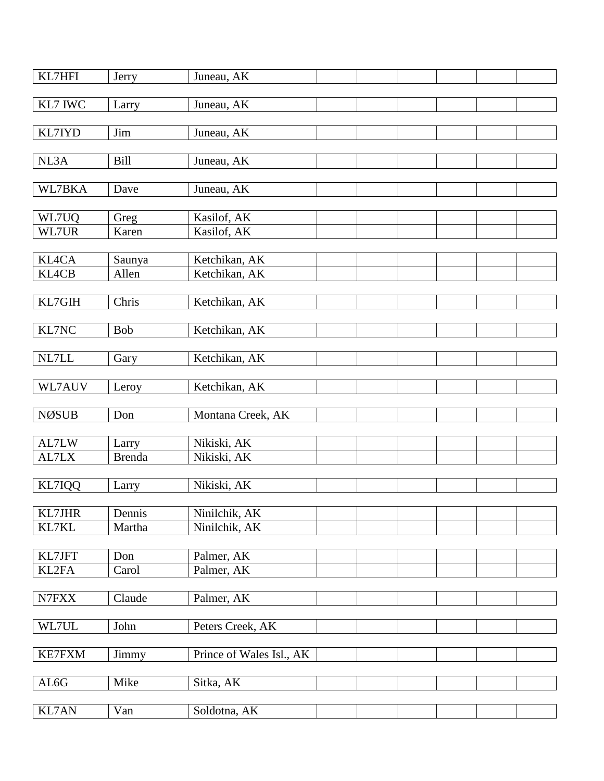| KL7HFI        | Jerry         | Juneau, AK                 |  |  |  |
|---------------|---------------|----------------------------|--|--|--|
| KL7 IWC       | Larry         | Juneau, AK                 |  |  |  |
|               |               |                            |  |  |  |
| KL7IYD        | Jim           | Juneau, AK                 |  |  |  |
|               |               |                            |  |  |  |
| NL3A          | <b>Bill</b>   | Juneau, AK                 |  |  |  |
| WL7BKA        | Dave          | Juneau, AK                 |  |  |  |
|               |               |                            |  |  |  |
| WL7UQ         | Greg          | Kasilof, AK                |  |  |  |
| WL7UR         | Karen         | Kasilof, AK                |  |  |  |
|               |               |                            |  |  |  |
| <b>KL4CA</b>  | Saunya        | Ketchikan, AK              |  |  |  |
| <b>KL4CB</b>  | Allen         | Ketchikan, AK              |  |  |  |
|               |               |                            |  |  |  |
| KL7GIH        | Chris         | Ketchikan, AK              |  |  |  |
| KL7NC         | Bob           | Ketchikan, AK              |  |  |  |
|               |               |                            |  |  |  |
| NL7LL         | Gary          | Ketchikan, AK              |  |  |  |
|               |               |                            |  |  |  |
| WL7AUV        | Leroy         | Ketchikan, AK              |  |  |  |
|               |               |                            |  |  |  |
| <b>NØSUB</b>  | Don           | Montana Creek, AK          |  |  |  |
| AL7LW         | Larry         | Nikiski, AK                |  |  |  |
| AL7LX         | <b>Brenda</b> | Nikiski, AK                |  |  |  |
|               |               |                            |  |  |  |
| KL7IQQ        | Larry         | Nikiski, AK                |  |  |  |
|               |               |                            |  |  |  |
| <b>KL7JHR</b> | Dennis        | Ninilchik, AK              |  |  |  |
| KL7KL         | Martha        | Ninilchik, $\overline{AK}$ |  |  |  |
| KL7JFT        | Don           | Palmer, AK                 |  |  |  |
| KL2FA         | Carol         | Palmer, AK                 |  |  |  |
|               |               |                            |  |  |  |
| N7FXX         | Claude        | Palmer, AK                 |  |  |  |
|               |               |                            |  |  |  |
| WL7UL         | John          | Peters Creek, AK           |  |  |  |
|               |               |                            |  |  |  |
| <b>KE7FXM</b> | Jimmy         | Prince of Wales Isl., AK   |  |  |  |
|               |               |                            |  |  |  |
| AL6G          | Mike          | Sitka, AK                  |  |  |  |
| <b>KL7AN</b>  | Van           | Soldotna, AK               |  |  |  |
|               |               |                            |  |  |  |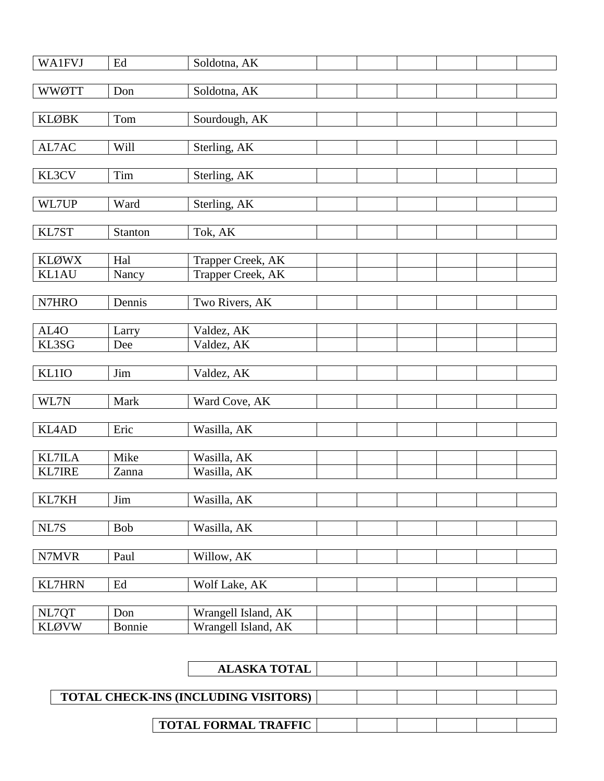| <b>WA1FVJ</b>                  | Ed                  | Soldotna, AK               |  |  |  |
|--------------------------------|---------------------|----------------------------|--|--|--|
|                                |                     |                            |  |  |  |
| <b>WWØTT</b>                   | Don                 | Soldotna, AK               |  |  |  |
| <b>KLØBK</b>                   | Tom                 |                            |  |  |  |
|                                |                     | Sourdough, AK              |  |  |  |
| AL7AC                          | <b>Will</b>         | Sterling, AK               |  |  |  |
|                                |                     |                            |  |  |  |
| KL3CV                          | Tim                 | Sterling, AK               |  |  |  |
|                                |                     |                            |  |  |  |
| WL7UP                          | Ward                | Sterling, AK               |  |  |  |
|                                |                     |                            |  |  |  |
| KL7ST                          | Stanton             | Tok, AK                    |  |  |  |
| <b>KLØWX</b>                   | Hal                 | Trapper Creek, AK          |  |  |  |
| <b>KL1AU</b>                   | Nancy               | Trapper Creek, AK          |  |  |  |
|                                |                     |                            |  |  |  |
| N7HRO                          | Dennis              | Two Rivers, AK             |  |  |  |
|                                |                     |                            |  |  |  |
| AL <sub>4</sub> O              | Larry               | Valdez, AK                 |  |  |  |
| KL3SG                          | Dee                 | Valdez, AK                 |  |  |  |
| KL1IO                          | Jim                 | Valdez, AK                 |  |  |  |
|                                |                     |                            |  |  |  |
| WL7N                           | Mark                | Ward Cove, AK              |  |  |  |
|                                |                     |                            |  |  |  |
| <b>KL4AD</b>                   | Eric                | Wasilla, AK                |  |  |  |
|                                |                     |                            |  |  |  |
| <b>KL7ILA</b><br><b>KL7IRE</b> | Mike<br>Zanna       | Wasilla, AK<br>Wasilla, AK |  |  |  |
|                                |                     |                            |  |  |  |
| KL7KH                          | Jim                 | Wasilla, AK                |  |  |  |
|                                |                     |                            |  |  |  |
| NL7S                           | Bob                 | Wasilla, AK                |  |  |  |
|                                |                     |                            |  |  |  |
| N7MVR                          | Paul                | Willow, AK                 |  |  |  |
|                                |                     |                            |  |  |  |
| <b>KL7HRN</b>                  | $\operatorname{Ed}$ | Wolf Lake, AK              |  |  |  |
| NL7QT                          | Don                 | Wrangell Island, AK        |  |  |  |
| <b>KLØVW</b>                   | Bonnie              | Wrangell Island, AK        |  |  |  |
|                                |                     |                            |  |  |  |

| <b>ALASKA TOTAL</b>                         |  |  |  |
|---------------------------------------------|--|--|--|
|                                             |  |  |  |
| <b>TOTAL CHECK-INS (INCLUDING VISITORS)</b> |  |  |  |
|                                             |  |  |  |
| <b>TOTAL FORMAL TRAFFIC</b>                 |  |  |  |